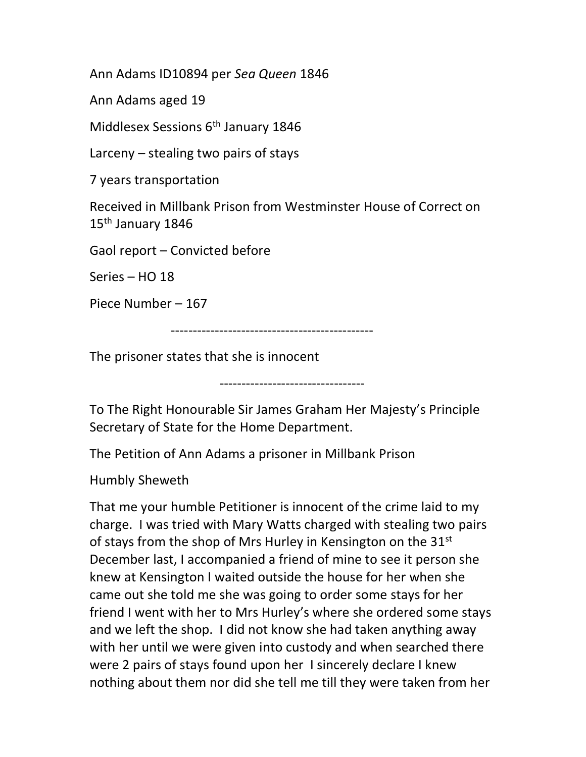Ann Adams ID10894 per Sea Queen 1846

Ann Adams aged 19

Middlesex Sessions 6<sup>th</sup> January 1846

Larceny – stealing two pairs of stays

7 years transportation

Received in Millbank Prison from Westminster House of Correct on 15th January 1846

Gaol report – Convicted before

Series – HO 18

Piece Number – 167

----------------------------------------------

The prisoner states that she is innocent

---------------------------------

To The Right Honourable Sir James Graham Her Majesty's Principle Secretary of State for the Home Department.

The Petition of Ann Adams a prisoner in Millbank Prison

Humbly Sheweth

That me your humble Petitioner is innocent of the crime laid to my charge. I was tried with Mary Watts charged with stealing two pairs of stays from the shop of Mrs Hurley in Kensington on the 31<sup>st</sup> December last, I accompanied a friend of mine to see it person she knew at Kensington I waited outside the house for her when she came out she told me she was going to order some stays for her friend I went with her to Mrs Hurley's where she ordered some stays and we left the shop. I did not know she had taken anything away with her until we were given into custody and when searched there were 2 pairs of stays found upon her I sincerely declare I knew nothing about them nor did she tell me till they were taken from her